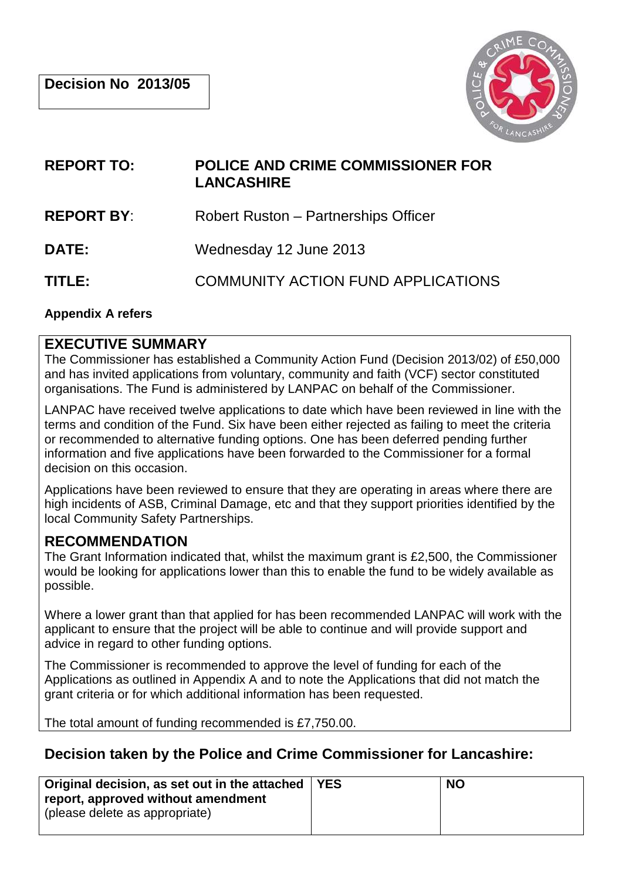

# **REPORT TO: POLICE AND CRIME COMMISSIONER FOR LANCASHIRE**

**REPORT BY:** Robert Ruston – Partnerships Officer

**DATE:** Wednesday 12 June 2013

**TITLE:** COMMUNITY ACTION FUND APPLICATIONS

#### **Appendix A refers**

#### **EXECUTIVE SUMMARY**

The Commissioner has established a Community Action Fund (Decision 2013/02) of £50,000 and has invited applications from voluntary, community and faith (VCF) sector constituted organisations. The Fund is administered by LANPAC on behalf of the Commissioner.

LANPAC have received twelve applications to date which have been reviewed in line with the terms and condition of the Fund. Six have been either rejected as failing to meet the criteria or recommended to alternative funding options. One has been deferred pending further information and five applications have been forwarded to the Commissioner for a formal decision on this occasion.

Applications have been reviewed to ensure that they are operating in areas where there are high incidents of ASB, Criminal Damage, etc and that they support priorities identified by the local Community Safety Partnerships.

## **RECOMMENDATION**

The Grant Information indicated that, whilst the maximum grant is £2,500, the Commissioner would be looking for applications lower than this to enable the fund to be widely available as possible.

Where a lower grant than that applied for has been recommended LANPAC will work with the applicant to ensure that the project will be able to continue and will provide support and advice in regard to other funding options.

The Commissioner is recommended to approve the level of funding for each of the Applications as outlined in Appendix A and to note the Applications that did not match the grant criteria or for which additional information has been requested.

The total amount of funding recommended is £7,750.00.

## **Decision taken by the Police and Crime Commissioner for Lancashire:**

| Original decision, as set out in the attached   YES                 | <b>NO</b> |
|---------------------------------------------------------------------|-----------|
| report, approved without amendment<br>please delete as appropriate) |           |
|                                                                     |           |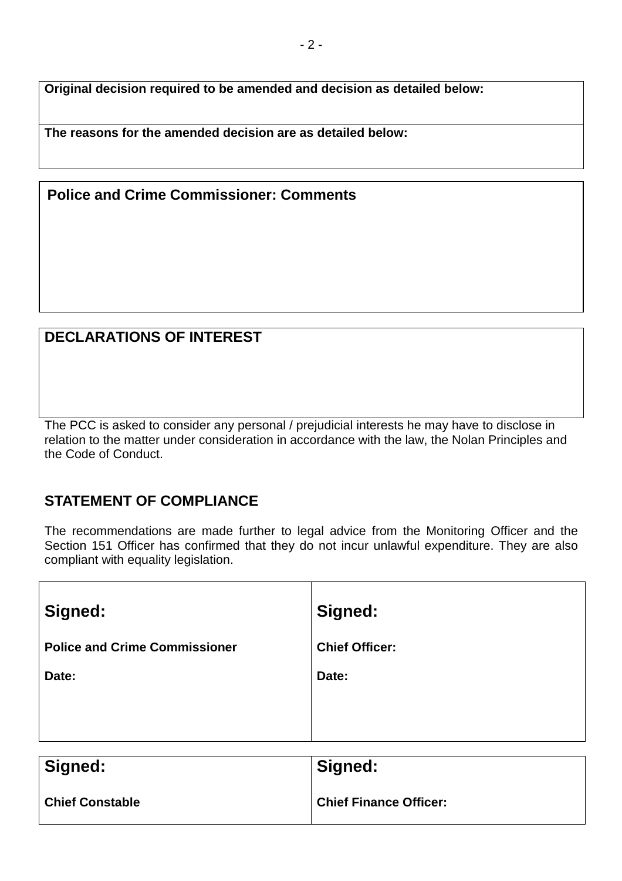**Original decision required to be amended and decision as detailed below:**

**The reasons for the amended decision are as detailed below:**

### **Police and Crime Commissioner: Comments**

## **DECLARATIONS OF INTEREST**

The PCC is asked to consider any personal / prejudicial interests he may have to disclose in relation to the matter under consideration in accordance with the law, the Nolan Principles and the Code of Conduct.

#### **STATEMENT OF COMPLIANCE**

The recommendations are made further to legal advice from the Monitoring Officer and the Section 151 Officer has confirmed that they do not incur unlawful expenditure. They are also compliant with equality legislation.

| Signed:                              | Signed:               |
|--------------------------------------|-----------------------|
| <b>Police and Crime Commissioner</b> | <b>Chief Officer:</b> |
| Date:                                | Date:                 |
|                                      |                       |
|                                      |                       |
| --<br>. .                            | $\mathbf{r}$          |

| Signed:                | Signed:                       |
|------------------------|-------------------------------|
| <b>Chief Constable</b> | <b>Chief Finance Officer:</b> |